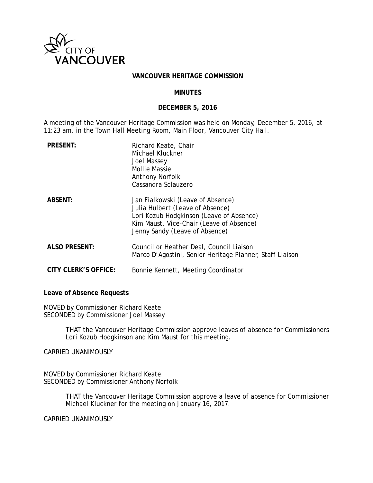

### **VANCOUVER HERITAGE COMMISSION**

### **MINUTES**

### **DECEMBER 5, 2016**

A meeting of the Vancouver Heritage Commission was held on Monday, December 5, 2016, at 11:23 am, in the Town Hall Meeting Room, Main Floor, Vancouver City Hall.

| <b>PRESENT:</b>      | Richard Keate, Chair<br>Michael Kluckner<br><b>Joel Massey</b><br><b>Mollie Massie</b><br><b>Anthony Norfolk</b><br>Cassandra Sclauzero                                                         |
|----------------------|-------------------------------------------------------------------------------------------------------------------------------------------------------------------------------------------------|
| <b>ABSENT:</b>       | Jan Fialkowski (Leave of Absence)<br>Julia Hulbert (Leave of Absence)<br>Lori Kozub Hodgkinson (Leave of Absence)<br>Kim Maust, Vice-Chair (Leave of Absence)<br>Jenny Sandy (Leave of Absence) |
| <b>ALSO PRESENT:</b> | Councillor Heather Deal, Council Liaison<br>Marco D'Agostini, Senior Heritage Planner, Staff Liaison                                                                                            |
| CITY CLERK'S OFFICE: | Bonnie Kennett, Meeting Coordinator                                                                                                                                                             |

### **Leave of Absence Requests**

MOVED by Commissioner Richard Keate SECONDED by Commissioner Joel Massey

> THAT the Vancouver Heritage Commission approve leaves of absence for Commissioners Lori Kozub Hodgkinson and Kim Maust for this meeting.

CARRIED UNANIMOUSLY

MOVED by Commissioner Richard Keate SECONDED by Commissioner Anthony Norfolk

> THAT the Vancouver Heritage Commission approve a leave of absence for Commissioner Michael Kluckner for the meeting on January 16, 2017.

CARRIED UNANIMOUSLY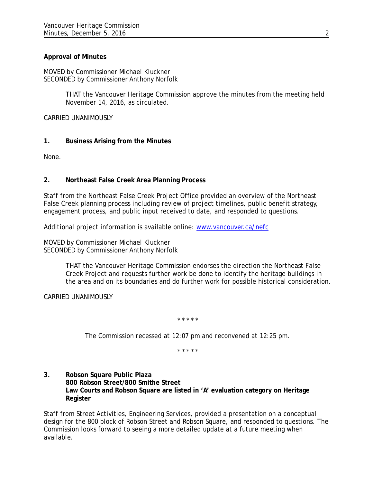## **Approval of Minutes**

MOVED by Commissioner Michael Kluckner SECONDED by Commissioner Anthony Norfolk

> THAT the Vancouver Heritage Commission approve the minutes from the meeting held November 14, 2016, as circulated.

CARRIED UNANIMOUSLY

## **1. Business Arising from the Minutes**

None.

## **2. Northeast False Creek Area Planning Process**

Staff from the Northeast False Creek Project Office provided an overview of the Northeast False Creek planning process including review of project timelines, public benefit strategy, engagement process, and public input received to date, and responded to questions.

Additional project information is available online: [www.vancouver.ca/nefc](http://www.vancouver.ca/nefc)

MOVED by Commissioner Michael Kluckner SECONDED by Commissioner Anthony Norfolk

> THAT the Vancouver Heritage Commission endorses the direction the Northeast False Creek Project and requests further work be done to identify the heritage buildings in the area and on its boundaries and do further work for possible historical consideration.

CARRIED UNANIMOUSLY

*\* \* \* \* \**

*The Commission recessed at 12:07 pm and reconvened at 12:25 pm.*

*\* \* \* \* \**

**3. Robson Square Public Plaza 800 Robson Street/800 Smithe Street Law Courts and Robson Square are listed in 'A' evaluation category on Heritage Register**

Staff from Street Activities, Engineering Services, provided a presentation on a conceptual design for the 800 block of Robson Street and Robson Square, and responded to questions. The Commission looks forward to seeing a more detailed update at a future meeting when available.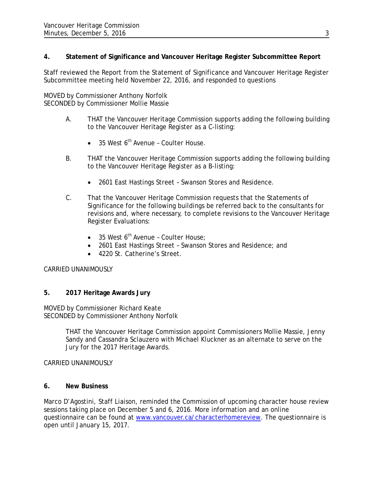# **4. Statement of Significance and Vancouver Heritage Register Subcommittee Report**

Staff reviewed the Report from the Statement of Significance and Vancouver Heritage Register Subcommittee meeting held November 22, 2016, and responded to questions

MOVED by Commissioner Anthony Norfolk SECONDED by Commissioner Mollie Massie

- A. THAT the Vancouver Heritage Commission supports adding the following building to the Vancouver Heritage Register as a C-listing:
	- $\bullet$  35 West 6<sup>th</sup> Avenue Coulter House.
- B. THAT the Vancouver Heritage Commission supports adding the following building to the Vancouver Heritage Register as a B-listing:
	- 2601 East Hastings Street Swanson Stores and Residence.
- C. That the Vancouver Heritage Commission requests that the Statements of Significance for the following buildings be referred back to the consultants for revisions and, where necessary, to complete revisions to the Vancouver Heritage Register Evaluations:
	- 35 West  $6^{th}$  Avenue Coulter House;
	- 2601 East Hastings Street Swanson Stores and Residence; and
	- 4220 St. Catherine's Street.

## CARRIED UNANIMOUSLY

## **5. 2017 Heritage Awards Jury**

MOVED by Commissioner Richard Keate SECONDED by Commissioner Anthony Norfolk

> THAT the Vancouver Heritage Commission appoint Commissioners Mollie Massie, Jenny Sandy and Cassandra Sclauzero with Michael Kluckner as an alternate to serve on the Jury for the 2017 Heritage Awards.

## CARRIED UNANIMOUSLY

## **6. New Business**

Marco D'Agostini, Staff Liaison, reminded the Commission of upcoming character house review sessions taking place on December 5 and 6, 2016. More information and an online questionnaire can be found at [www.vancouver.ca/characterhomereview.](http://www.vancouver.ca/characterhomereview) The questionnaire is open until January 15, 2017.